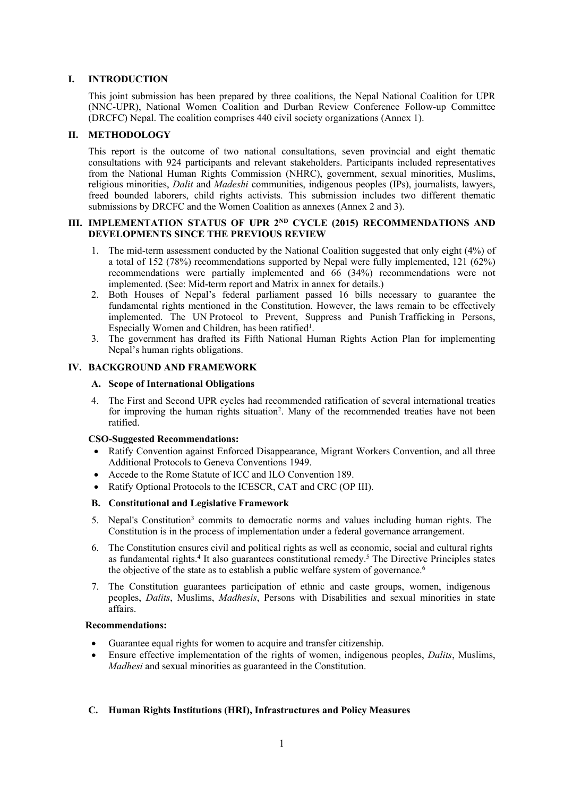# **I. INTRODUCTION**

This joint submission has been prepared by three coalitions, the Nepal National Coalition for UPR (NNC-UPR), National Women Coalition and Durban Review Conference Follow-up Committee (DRCFC) Nepal. The coalition comprises 440 civil society organizations (Annex 1).

# **II. METHODOLOGY**

This repor<sup>t</sup> is the outcome of two national consultations, seven provincial and eight thematic consultations with 924 participants and relevant stakeholders. Participants included representatives from the National Human Rights Commission (NHRC), government, sexual minorities, Muslims, religious minorities, *Dalit* and *Madeshi* communities, indigenous peoples (IPs), journalists, lawyers, freed bounded laborers, child rights activists. This submission includes two different thematic submissions by DRCFC and the Women Coalition as annexes (Annex 2 and 3).

## **III. IMPLEMENTATION STATUS OF UPR 2ND CYCLE (2015) RECOMMENDATIONS AND DEVELOPMENTS SINCE THE PREVIOUS REVIEW**

- 1. The mid-term assessment conducted by the National Coalition suggested that only eight (4%) of <sup>a</sup> total of 152 (78%) recommendations supported by Nepal were fully implemented, 121 (62%) recommendations were partially implemented and 66 (34%) recommendations were not implemented. (See: Mid-term repor<sup>t</sup> and Matrix in annex for details.)
- 2. Both Houses of Nepal'<sup>s</sup> federal parliament passed 16 bills necessary to guarantee the fundamental rights mentioned in the Constitution. However, the laws remain to be effectively implemented. The UN Protocol to Prevent, Suppress and Punish Trafficking in Persons, Especially Women and Children, has been ratified $^1$ .
- 3. The governmen<sup>t</sup> has drafted its Fifth National Human Rights Action Plan for implementing Nepal'<sup>s</sup> human rights obligations.

# **IV. BACKGROUND AND FRAMEWORK**

## **A. Scope of International Obligations**

4. The First and Second UPR cycles had recommended ratification of several international treaties for improving the human rights situation<sup>2</sup>. Many of the recommended treaties have not been ratified.

## **CSO-Suggested Recommendations:**

- Ratify Convention against Enforced Disappearance, Migrant Workers Convention, and all three Additional Protocols to Geneva Conventions 1949.
- . Accede to the Rome Statute of ICC and ILO Convention 189.
- Ratify Optional Protocols to the ICESCR, CAT and CRC (OP III).

# **B. Constitutional and Legislative Framework**

- 5. Nepal's Constitution<sup>3</sup> commits to democratic norms and values including human rights. The Constitution is in the process of implementation under <sup>a</sup> federal governance arrangement.
- 6. The Constitution ensures civil and political rights as well as economic, social and cultural rights as fundamental rights.<sup>4</sup> It also guarantees constitutional remedy.<sup>5</sup> The Directive Principles states the objective of the state as to establish <sup>a</sup> public welfare system of governance. 6
- 7. The Constitution guarantees participation of ethnic and caste groups, women, indigenous peoples, *Dalits*, Muslims, *Madhesis*, Persons with Disabilities and sexual minorities in state affairs.

## **Recommendations:**

- 0 Guarantee equal rights for women to acquire and transfer citizenship.
- . Ensure effective implementation of the rights of women, indigenous peoples, *Dalits*, Muslims, *Madhesi* and sexual minorities as guaranteed in the Constitution.

# **C. Human Rights Institutions (HRI), Infrastructures and Policy Measures**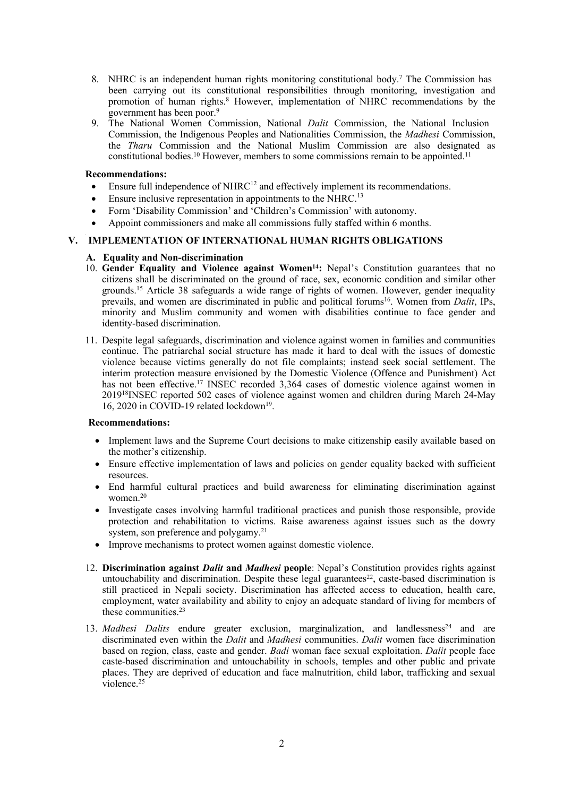- 8. NHRC is an independent human rights monitoring constitutional body.<sup>7</sup> The Commission has been carrying out its constitutional responsibilities through monitoring, investigation and promotion of human rights. <sup>8</sup> However, implementation of NHRC recommendations by the governmen<sup>t</sup> has been poor. 9
- 9. The National Women Commission, National *Dalit* Commission, the National Inclusion Commission, the Indigenous Peoples and Nationalities Commission, the *Madhesi* Commission, the *Tharu* Commission and the National Muslim Commission are also designated as constitutional bodies.<sup>10</sup> However, members to some commissions remain to be appointed.<sup>11</sup>

- $\bullet$ Ensure full independence of  $NHRC<sup>12</sup>$  and effectively implement its recommendations.
- .  $\bullet$  Ensure inclusive representation in appointments to the NHRC.<sup>13</sup>
- . Form 'Disability Commission' and 'Children'<sup>s</sup> Commission' with autonomy.
- 0 Appoint commissioners and make all commissions fully staffed within 6 months.

# **V. IMPLEMENTATION OF INTERNATIONAL HUMAN RIGHTS OBLIGATIONS**

## **A. Equality and Non-discrimination**

- 10. **Gender Equality and Violence against Women<sup>14</sup> :** Nepal'<sup>s</sup> Constitution guarantees that no citizens shall be discriminated on the ground of race, sex, economic condition and similar other grounds.<sup>15</sup> Article 38 safeguards a wide range of rights of women. However, gender inequality prevails, and women are discriminated in public and political forums 16 . Women from *Dalit*, IPs, minority and Muslim community and women with disabilities continue to face gender and identity-based discrimination.
- 11. Despite legal safeguards, discrimination and violence against women in families and communities continue. The patriarchal social structure has made it hard to deal with the issues of domestic violence because victims generally do not file complaints; instead seek social settlement. The interim protection measure envisioned by the Domestic Violence (Offence and Punishment) Act has not been effective.<sup>17</sup> INSEC recorded 3,364 cases of domestic violence against women in 2019<sup>18</sup> INSEC reported 502 cases of violence against women and children during March 24-May 16, 2020 in COVID-19 related lockdown<sup>19</sup>.

- Implement laws and the Supreme Court decisions to make citizenship easily available based on the mother'<sup>s</sup> citizenship.
- 0 Ensure effective implementation of laws and policies on gender equality backed with sufficient resources.
- End harmful cultural practices and build awareness for eliminating discrimination against women. 20
- Investigate cases involving harmful traditional practices and punish those responsible, provide protection and rehabilitation to victims. Raise awareness against issues such as the dowry system, son preference and polygamy.<sup>21</sup>
- Improve mechanisms to protect women against domestic violence.
- 12. **Discrimination against** *Dalit* **and** *Madhesi* **people**: Nepal'<sup>s</sup> Constitution provides rights against untouchability and discrimination. Despite these legal guarantees<sup>22</sup>, caste-based discrimination is still practiced in Nepali society. Discrimination has affected access to education, health care, employment, water availability and ability to enjoy an adequate standard of living for members of these communities.<sup>23</sup>
- 13. *Madhesi Dalits* endure greater exclusion, marginalization, and landlessness<sup>24</sup> and are discriminated even within the *Dalit* and *Madhesi* communities. *Dalit* women face discrimination based on region, class, caste and gender. *Badi* woman face sexual exploitation. *Dalit* people face caste-based discrimination and untouchability in schools, temples and other public and private places. They are deprived of education and face malnutrition, child labor, trafficking and sexual violence. 25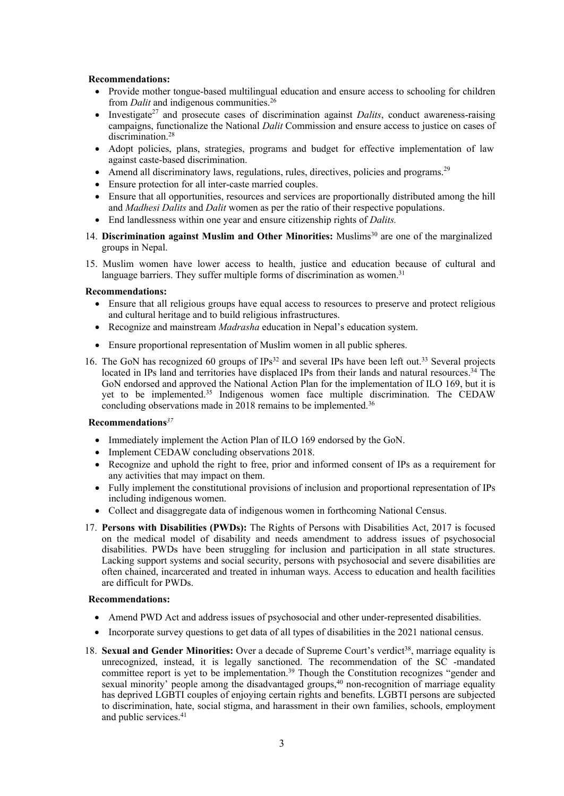- Provide mother tongue-based multilingual education and ensure access to schooling for children from *Dalit* and indigenous communities. 26
- . • Investigate<sup>27</sup> and prosecute cases of discrimination against *Dalits*, conduct awareness-raising campaigns, functionalize the National *Dalit* Commission and ensure access to justice on cases of discrimination. 28
- . Adopt policies, plans, strategies, programs and budget for effective implementation of law against caste-based discrimination.
- Amend all discriminatory laws, regulations, rules, directives, policies and programs.<sup>29</sup>
- Ensure protection for all inter-caste married couples.
- . Ensure that all opportunities, resources and services are proportionally distributed among the hill and *Madhesi Dalits* and *Dalit* women as per the ratio of their respective populations.
- End landlessness within one year and ensure citizenship rights of *Dalits.*
- 14. **Discrimination against Muslim and Other Minorities:** Muslims 30 are one of the marginalized groups in Nepal.
- 15. Muslim women have lower access to health, justice and education because of cultural and language barriers. They suffer multiple forms of discrimination as women.<sup>31</sup>

## **Recommendations:**

- Ensure that all religious groups have equal access to resources to preserve and protect religious and cultural heritage and to build religious infrastructures.
- Recognize and mainstream *Madrasha* education in Nepal'<sup>s</sup> education system.
- Ensure proportional representation of Muslim women in all public spheres.
- 16. The GoN has recognized 60 groups of IPs<sup>32</sup> and several IPs have been left out.<sup>33</sup> Several projects located in IPs land and territories have displaced IPs from their lands and natural resources.<sup>34</sup> The GoN endorsed and approved the National Action Plan for the implementation of ILO 169, but it is ye<sup>t</sup> to be implemented. 35 Indigenous women face multiple discrimination. The CEDAW concluding observations made in 2018 remains to be implemented. 36

## **Recommendations** *37*

- Immediately implement the Action Plan of ILO 169 endorsed by the GoN.
- . Implement CEDAW concluding observations 2018.
- 0 Recognize and uphold the right to free, prior and informed consent of IPs as <sup>a</sup> requirement for any activities that may impact on them.
- Fully implement the constitutional provisions of inclusion and proportional representation of IPs including indigenous women.
- Collect and disaggregate data of indigenous women in forthcoming National Census.
- 17. **Persons with Disabilities (PWDs):** The Rights of Persons with Disabilities Act, 2017 is focused on the medical model of disability and needs amendment to address issues of psychosocial disabilities. PWDs have been struggling for inclusion and participation in all state structures. Lacking suppor<sup>t</sup> systems and social security, persons with psychosocial and severe disabilities are often chained, incarcerated and treated in inhuman ways. Access to education and health facilities are difficult for PWDs.

- 0 Amend PWD Act and address issues of psychosocial and other under-represented disabilities.
- Incorporate survey questions to get data of all types of disabilities in the 2021 national census.
- 18. **Sexual and Gender Minorities:** Over <sup>a</sup> decade of Supreme Court'<sup>s</sup> verdict 38 , marriage equality is unrecognized, instead, it is legally sanctioned. The recommendation of the SC -mandated committee repor<sup>t</sup> is ye<sup>t</sup> to be implementation. 39 Though the Constitution recognizes "gender and sexual minority' people among the disadvantaged groups,<sup>40</sup> non-recognition of marriage equality has deprived LGBTI couples of enjoying certain rights and benefits. LGBTI persons are subjected to discrimination, hate, social stigma, and harassment in their own families, schools, employment and public services. 41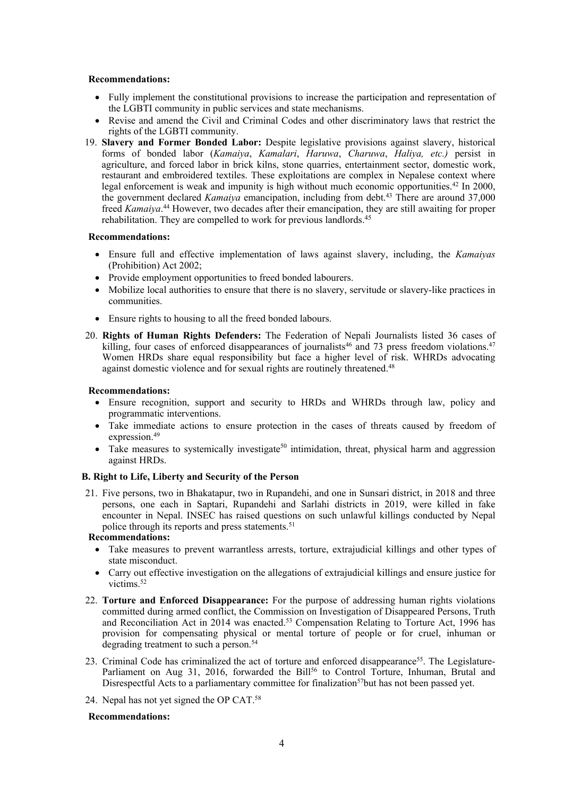- Fully implement the constitutional provisions to increase the participation and representation of the LGBTI community in public services and state mechanisms.
- Revise and amend the Civil and Criminal Codes and other discriminatory laws that restrict the rights of the LGBTI community.
- 19. **Slavery and Former Bonded Labor:** Despite legislative provisions against slavery, historical forms of bonded labor (*Kamaiya*, *Kamalari*, *Haruwa*, *Charuwa*, *Haliya, etc.)* persist in agriculture, and forced labor in brick kilns, stone quarries, entertainment sector, domestic work, restaurant and embroidered textiles. These exploitations are complex in Nepalese context where legal enforcement is weak and impunity is high without much economic opportunities.<sup>42</sup> In 2000, the governmen<sup>t</sup> declared *Kamaiya* emancipation, including from debt. 43 There are around 37,000 freed *Kamaiya*. <sup>44</sup> However, two decades after their emancipation, they are still awaiting for proper rehabilitation. They are compelled to work for previous landlords.<sup>45</sup>

#### **Recommendations:**

- Ensure full and effective implementation of laws against slavery, including, the *Kamaiyas* (Prohibition) Act 2002;
- Provide employment opportunities to freed bonded labourers.
- 0 Mobilize local authorities to ensure that there is no slavery, servitude or slavery-like practices in communities.
- Ensure rights to housing to all the freed bonded labours.
- 20. **Rights of Human Rights Defenders:** The Federation of Nepali Journalists listed 36 cases of killing, four cases of enforced disappearances of journalists<sup>46</sup> and 73 press freedom violations.<sup>47</sup> Women HRDs share equal responsibility but face a higher level of risk. WHRDs advocating against domestic violence and for sexual rights are routinely threatened. 48

#### **Recommendations:**

- Ensure recognition, suppor<sup>t</sup> and security to HRDs and WHRDs through law, policy and programmatic interventions.
- 0 Take immediate actions to ensure protection in the cases of threats caused by freedom of expression. 49
- Take measures to systemically investigate<sup>50</sup> intimidation, threat, physical harm and aggression against HRDs.

## **B. Right to Life, Liberty and Security of the Person**

21. Five persons, two in Bhakatapur, two in Rupandehi, and one in Sunsari district, in 2018 and three persons, one each in Saptari, Rupandehi and Sarlahi districts in 2019, were killed in fake encounter in Nepal. INSEC has raised questions on such unlawful killings conducted by Nepal police through its reports and press statements. 51

# **Recommendations:**

- . Take measures to preven<sup>t</sup> warrantless arrests, torture, extrajudicial killings and other types of state misconduct.
- 0 Carry out effective investigation on the allegations of extrajudicial killings and ensure justice for victims. 52
- 22. **Torture and Enforced Disappearance:** For the purpose of addressing human rights violations committed during armed conflict, the Commission on Investigation of Disappeared Persons, Truth and Reconciliation Act in 2014 was enacted.<sup>53</sup> Compensation Relating to Torture Act, 1996 has provision for compensating physical or mental torture of people or for cruel, inhuman or degrading treatment to such <sup>a</sup> person. 54
- 23. Criminal Code has criminalized the act of torture and enforced disappearance<sup>55</sup>. The Legislature-Parliament on Aug 31, 2016, forwarded the Bill<sup>56</sup> to Control Torture, Inhuman, Brutal and Disrespectful Acts to a parliamentary committee for finalization<sup>57</sup>but has not been passed yet.
- 24. Nepal has not yet signed the OP CAT.<sup>58</sup>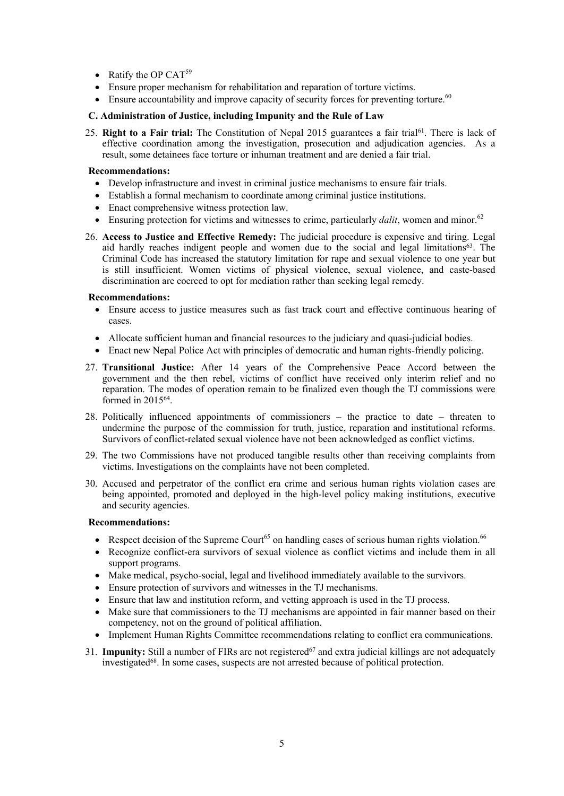- Ratify the OP CAT<sup>59</sup>
- Ensure proper mechanism for rehabilitation and reparation of torture victims.
- $\bullet$  Ensure accountability and improve capacity of security forces for preventing torture.<sup>60</sup>

## **C. Administration of Justice, including Impunity and the Rule of Law**

25. **Right to <sup>a</sup> Fair trial:** The Constitution of Nepal 2015 guarantees <sup>a</sup> fair trial 61 . There is lack of effective coordination among the investigation, prosecution and adjudication agencies. As <sup>a</sup> result, some detainees face torture or inhuman treatment and are denied <sup>a</sup> fair trial.

## **Recommendations:**

- Develop infrastructure and invest in criminal justice mechanisms to ensure fair trials.
- Establish <sup>a</sup> formal mechanism to coordinate among criminal justice institutions.
- . Enact comprehensive witness protection law.
- Ensuring protection for victims and witnesses to crime, particularly *dalit*, women and minor.<sup>62</sup>
- 26. **Access to Justice and Effective Remedy:** The judicial procedure is expensive and tiring. Legal aid hardly reaches indigent people and women due to the social and legal limitations<sup>63</sup>. The Criminal Code has increased the statutory limitation for rape and sexual violence to one year but is still insufficient. Women victims of physical violence, sexual violence, and caste-based discrimination are coerced to op<sup>t</sup> for mediation rather than seeking legal remedy.

## **Recommendations:**

- Ensure access to justice measures such as fast track court and effective continuous hearing of cases.
- Allocate sufficient human and financial resources to the judiciary and quasi-judicial bodies.
- Enact new Nepal Police Act with principles of democratic and human rights-friendly policing.
- 27. **Transitional Justice:** After 14 years of the Comprehensive Peace Accord between the governmen<sup>t</sup> and the then rebel, victims of conflict have received only interim relief and no reparation. The modes of operation remain to be finalized even though the TJ commissions were formed in 2015<sup>64</sup> .
- 28. Politically influenced appointments of commissioners the practice to date threaten to undermine the purpose of the commission for truth, justice, reparation and institutional reforms. Survivors of conflict-related sexual violence have not been acknowledged as conflict victims.
- 29. The two Commissions have not produced tangible results other than receiving complaints from victims. Investigations on the complaints have not been completed.
- 30. Accused and perpetrator of the conflict era crime and serious human rights violation cases are being appointed, promoted and deployed in the high-level policy making institutions, executive and security agencies.

- Respect decision of the Supreme Court<sup>65</sup> on handling cases of serious human rights violation.<sup>66</sup>
- 0 Recognize conflict-era survivors of sexual violence as conflict victims and include them in all support programs.
- Make medical, psycho-social, legal and livelihood immediately available to the survivors.
- Ensure protection of survivors and witnesses in the TJ mechanisms.
- . Ensure that law and institution reform, and vetting approach is used in the TJ process.
- 0 Make sure that commissioners to the TJ mechanisms are appointed in fair manner based on their competency, not on the ground of political affiliation.
- Implement Human Rights Committee recommendations relating to conflict era communications.
- 31. **Impunity:** Still a number of FIRs are not registered<sup>67</sup> and extra judicial killings are not adequately investigated<sup>68</sup>. In some cases, suspects are not arrested because of political protection.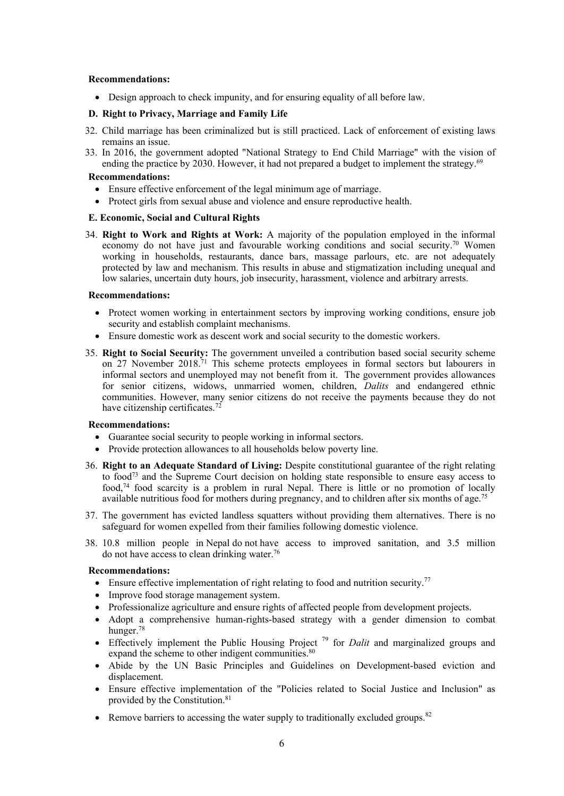Design approach to check impunity, and for ensuring equality of all before law.

## **D. Right to Privacy, Marriage and Family Life**

- 32. Child marriage has been criminalized but is still practiced. Lack of enforcement of existing laws remains an issue.
- 33. In 2016, the governmen<sup>t</sup> adopted "National Strategy to End Child Marriage" with the vision of ending the practice by 2030. However, it had not prepared <sup>a</sup> budget to implement the strategy. 69

## **Recommendations:**

- Ensure effective enforcement of the legal minimum age of marriage.
- Protect girls from sexual abuse and violence and ensure reproductive health.

## **E. Economic, Social and Cultural Rights**

34. **Right to Work and Rights at Work:** A majority of the population employed in the informal economy do not have just and favourable working conditions and social security.<sup>70</sup> Women working in households, restaurants, dance bars, massage parlours, etc. are not adequately protected by law and mechanism. This results in abuse and stigmatization including unequal and low salaries, uncertain duty hours, job insecurity, harassment, violence and arbitrary arrests.

#### **Recommendations:**

- Protect women working in entertainment sectors by improving working conditions, ensure job security and establish complaint mechanisms.
- Ensure domestic work as descent work and social security to the domestic workers.
- 35. **Right to Social Security:** The governmen<sup>t</sup> unveiled <sup>a</sup> contribution based social security scheme on 27 November 2018.<sup>71</sup> This scheme protects employees in formal sectors but labourers in informal sectors and unemployed may not benefit from it. The governmen<sup>t</sup> provides allowances for senior citizens, widows, unmarried women, children, *Dalits* and endangered ethnic communities. However, many senior citizens do not receive the payments because they do not have citizenship certificates.<sup>72</sup>

## **Recommendations:**

- Guarantee social security to people working in informal sectors.
- Provide protection allowances to all households below poverty line.
- 36. **Right to an Adequate Standard of Living:** Despite constitutional guarantee of the right relating to food<sup>73</sup> and the Supreme Court decision on holding state responsible to ensure easy access to food, 74 food scarcity is <sup>a</sup> problem in rural Nepal. There is little or no promotion of locally available nutritious food for mothers during pregnancy, and to children after six months of age.<sup>75</sup>
- 37. The governmen<sup>t</sup> has evicted landless squatters without providing them alternatives. There is no safeguard for women expelled from their families following domestic violence.
- 38. 10.8 million people in Nepal do not have access to improved sanitation, and 3.5 million do not have access to clean drinking water. 76

- Ensure effective implementation of right relating to food and nutrition security.<sup>77</sup>
- Improve food storage management system.
- Professionalize agriculture and ensure rights of affected people from development projects.
- Adopt <sup>a</sup> comprehensive human-rights-based strategy with <sup>a</sup> gender dimension to combat hunger. 78
- Effectively implement the Public Housing Project<sup>79</sup> for *Dalit* and marginalized groups and expand the scheme to other indigent communities.<sup>80</sup>
- Abide by the UN Basic Principles and Guidelines on Development-based eviction and displacement.
- Ensure effective implementation of the "Policies related to Social Justice and Inclusion" as provided by the Constitution. 81
- Remove barriers to accessing the water supply to traditionally excluded groups. $82$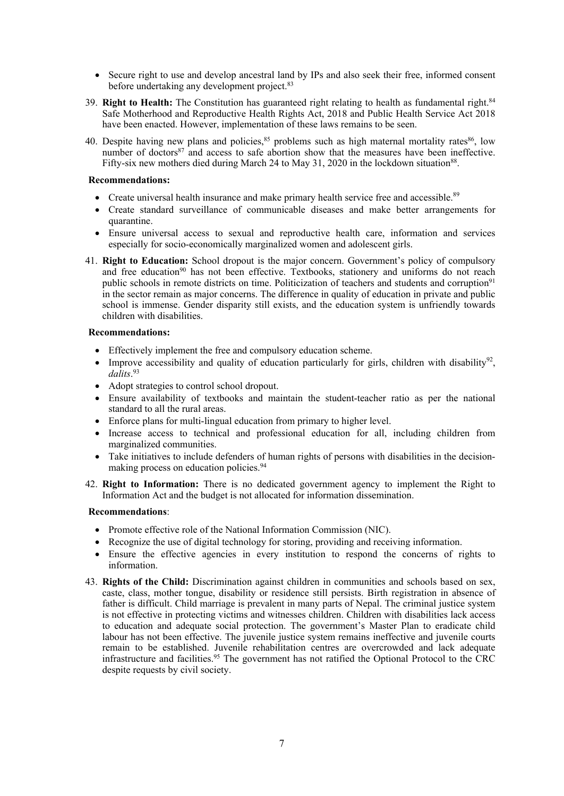- Secure right to use and develop ancestral land by IPs and also seek their free, informed consent before undertaking any development project. 83
- 39. **Right to Health:** The Constitution has guaranteed right relating to health as fundamental right. 84 Safe Motherhood and Reproductive Health Rights Act, 2018 and Public Health Service Act 2018 have been enacted. However, implementation of these laws remains to be seen.
- 40. Despite having new plans and policies,<sup>85</sup> problems such as high maternal mortality rates<sup>86</sup>, low number of doctors<sup>87</sup> and access to safe abortion show that the measures have been ineffective. Fifty-six new mothers died during March 24 to May 31, 2020 in the lockdown situation<sup>88</sup>.

- Create universal health insurance and make primary health service free and accessible.<sup>89</sup>
- 0 Create standard surveillance of communicable diseases and make better arrangements for quarantine.
- Ensure universal access to sexual and reproductive health care, information and services especially for socio-economically marginalized women and adolescent girls.
- 41. **Right to Education:** School dropout is the major concern. Government'<sup>s</sup> policy of compulsory and free education<sup>90</sup> has not been effective. Textbooks, stationery and uniforms do not reach public schools in remote districts on time. Politicization of teachers and students and corruption<sup>91</sup> in the sector remain as major concerns. The difference in quality of education in private and public school is immense. Gender disparity still exists, and the education system is unfriendly towards children with disabilities.

#### **Recommendations:**

- Effectively implement the free and compulsory education scheme.
- 0 • Improve accessibility and quality of education particularly for girls, children with disability<sup>92</sup>, *dalits*. 93
- Adopt strategies to control school dropout.
- Ensure availability of textbooks and maintain the student-teacher ratio as per the national standard to all the rural areas.
- Enforce plans for multi-lingual education from primary to higher level.
- Increase access to technical and professional education for all, including children from marginalized communities.
- . Take initiatives to include defenders of human rights of persons with disabilities in the decisionmaking process on education policies. 94
- 42. **Right to Information:** There is no dedicated governmen<sup>t</sup> agency to implement the Right to Information Act and the budget is not allocated for information dissemination.

- Promote effective role of the National Information Commission (NIC).
- Recognize the use of digital technology for storing, providing and receiving information.
- . Ensure the effective agencies in every institution to respond the concerns of rights to information.
- 43. **Rights of the Child:** Discrimination against children in communities and schools based on sex, caste, class, mother tongue, disability or residence still persists. Birth registration in absence of father is difficult. Child marriage is prevalent in many parts of Nepal. The criminal justice system is not effective in protecting victims and witnesses children. Children with disabilities lack access to education and adequate social protection. The government'<sup>s</sup> Master Plan to eradicate child labour has not been effective. The juvenile justice system remains ineffective and juvenile courts remain to be established. Juvenile rehabilitation centres are overcrowded and lack adequate infrastructure and facilities. 95 The governmen<sup>t</sup> has not ratified the Optional Protocol to the CRC despite requests by civil society.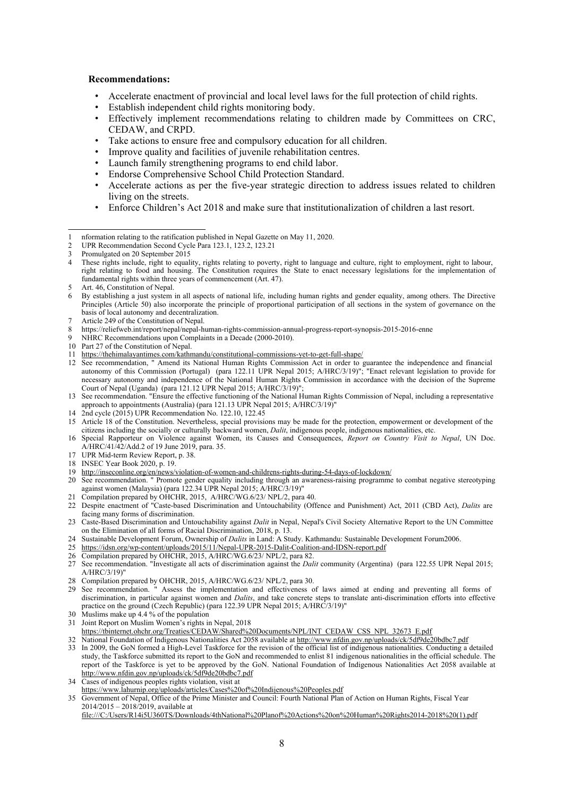- •Accelerate enactment of provincial and local level laws for the full protection of child rights.
- •Establish independent child rights monitoring body.
- • Effectively implement recommendations relating to children made by Committees on CRC, CEDAW, and CRPD.
- •Take actions to ensure free and compulsory education for all children.
- •Improve quality and facilities of juvenile rehabilitation centres.
- •Launch family strengthening programs to end child labor.
- •Endorse Comprehensive School Child Protection Standard.
- • Accelerate actions as per the five-year strategic direction to address issues related to children living on the streets.
- •Enforce Children'<sup>s</sup> Act 2018 and make sure that institutionalization of children <sup>a</sup> last resort.

- Article 249 of the Constitution of Nepal.
- 8 https://reliefweb.int/report/nepal/nepal-human-rights-commission-annual-progress-report-synopsis-2015-2016-enne
- NHRC Recommendations upon Complaints in a Decade (2000-2010).
- 10 Part 27 of the Constitution of Nepal.
- 11 <https://thehimalayantimes.com/kathmandu/constitutional-commissions-yet-to-get-full-shape/>
- 12 See recommendation, " Amend its National Human Rights Commission Act in order to guarantee the independence and financial autonomy of this Commission (Portugal) (para 122.11 UPR Nepal 2015; A/HRC/3/19)"; "Enact relevant legislation to provide for necessary autonomy and independence of the National Human Rights Commission in accordance with the decision of the Supreme Court of Nepal (Uganda) (para 121.12 UPR Nepal 2015; A/HRC/3/19)";
- 13 See recommendation. "Ensure the effective functioning of the National Human Rights Commission of Nepal, including a representative approach to appointments (Australia) (para 121.13 UPR Nepal 2015; A/HRC/3/19)"
- 14 2nd cycle (2015) UPR Recommendation No. 122.10, 122.45
- 15 Article 18 of the Constitution. Nevertheless, special provisions may be made for the protection, empowermen<sup>t</sup> or development of the citizens including the socially or culturally backward women, *Dalit*, indigenous people, indigenous nationalities, etc.
- 16 Special Rapporteur on Violence against Women, its Causes and Consequences, *Report on Country Visit to Nepal*, UN Doc. A/HRC/41/42/Add.2 of 19 June 2019, para. 35.
- 17 UPR Mid-term Review Report, p. 38.
- 18 INSEC Year Book 2020, p. 19.
- 19 <http://inseconline.org/en/news/violation-of-women-and-childrens-rights-during-54-days-of-lockdown/>
- 20 See recommendation. " Promote gender equality including through an awareness-raising programme to combat negative stereotyping against women (Malaysia) (para 122.34 UPR Nepal 2015; A/HRC/3/19)'
- 21 Compilation prepared by OHCHR, 2015, A/HRC/WG.6/23/ NPL/2, para 40.
- 22 Despite enactment of "Caste-based Discrimination and Untouchability (Offence and Punishment) Act, 2011 (CBD Act), *Dalits* are facing many forms of discrimination.
- 23 Caste-Based Discrimination and Untouchability against *Dalit* in Nepal, Nepal's Civil Society Alternative Report to the UN Committee on the Elimination of all forms of Racial Discrimination, 2018, p. 13.
- 24 Sustainable Development Forum, Ownership of *Dalits* in Land: A Study. Kathmandu: Sustainable Development Forum2006.
- 25 <https://idsn.org/wp-content/uploads/2015/11/Nepal-UPR-2015-Dalit-Coalition-and-IDSN-report.pdf>
- 26 Compilation prepared by OHCHR, 2015, A/HRC/WG.6/23/ NPL/2, para 82.
- 27 See recommendation. "Investigate all acts of discrimination against the *Dalit* community (Argentina) (para 122.55 UPR Nepal 2015; A/HRC/3/19)"
- 28 Compilation prepared by OHCHR, 2015, A/HRC/WG.6/23/ NPL/2, para 30.
- 29 See recommendation. " Assess the implementation and effectiveness of laws aimed at ending and preventing all forms of discrimination, in particular against women and *Dalits*, and take concrete steps to translate anti-discrimination efforts into effective practice on the ground (Czech Republic) (para 122.39 UPR Nepal 2015; A/HRC/3/19)"
- 30 Muslims make up 4.4 % of the population
- 31 Joint Report on Muslim Women'<sup>s</sup> rights in Nepal, 2018
- [https://tbinternet.ohchr.org/Treaties/CEDAW/Shared%20Documents/NPL/INT](https://tbinternet.ohchr.org/Treaties/CEDAW/Shared%20Documents/NPL/INT_CEDAW_CSS_NPL_32673_E.pdf)\_[CEDAW](https://tbinternet.ohchr.org/Treaties/CEDAW/Shared%20Documents/NPL/INT_CEDAW_CSS_NPL_32673_E.pdf)\_[CSS](https://tbinternet.ohchr.org/Treaties/CEDAW/Shared%20Documents/NPL/INT_CEDAW_CSS_NPL_32673_E.pdf)\_[NPL](https://tbinternet.ohchr.org/Treaties/CEDAW/Shared%20Documents/NPL/INT_CEDAW_CSS_NPL_32673_E.pdf)\_[32673](https://tbinternet.ohchr.org/Treaties/CEDAW/Shared%20Documents/NPL/INT_CEDAW_CSS_NPL_32673_E.pdf)\_[E.pdf](https://tbinternet.ohchr.org/Treaties/CEDAW/Shared%20Documents/NPL/INT_CEDAW_CSS_NPL_32673_E.pdf)
- 32 National Foundation of Indigenous Nationalities Act 2058 available at <http://www.nfdin.gov.np/uploads/ck/5df9de20bdbc7.pdf> 33 In 2009, the GoN formed <sup>a</sup> High-Level Taskforce for the revision of the official list of indigenous nationalities. Conducting <sup>a</sup> detailed study, the Taskforce submitted its repor<sup>t</sup> to the GoN and recommended to enlist 81 indigenous nationalities in the official schedule. The repor<sup>t</sup> of the Taskforce is ye<sup>t</sup> to be approved by the GoN. National Foundation of Indigenous Nationalities Act 2058 available at <http://www.nfdin.gov.np/uploads/ck/5df9de20bdbc7.pdf>
- 34 Cases of indigenous peoples rights violation, visit at
- <https://www.lahurnip.org/uploads/articles/Cases%20of%20Indijenous%20Peoples.pdf>
- 35 Government of Nepal, Office of the Prime Minister and Council: Fourth National Plan of Action on Human Rights, Fiscal Year 2014/2015 – 2018/2019, available at

file:///C:/Users/R14i5U360TS/Downloads/4thNational%20Planof%20Actions%20on%20Human%20Rights2014-2018%20(1).pdf

<sup>1</sup> nformation relating to the ratification published in Nepal Gazette on May 11, 2020.

<sup>2</sup> UPR Recommendation Second Cycle Para 123.1, 123.2, 123.21<br>Promulgated on 20 September 2015

<sup>3</sup> Promulgated on 20 September 2015

<sup>4</sup> These rights include, right to equality, rights relating to poverty, right to language and culture, right to employment, right to labour, right relating to food and housing. The Constitution requires the State to enact necessary legislations for the implementation of fundamental rights within three years of commencement (Art. 47).

<sup>5</sup> Art. 46, Constitution of Nepal.

<sup>6</sup> By establishing <sup>a</sup> just system in all aspects of national life, including human rights and gender equality, among others. The Directive Principles (Article 50) also incorporate the principle of proportional participation of all sections in the system of governance on the basis of local autonomy and decentralization.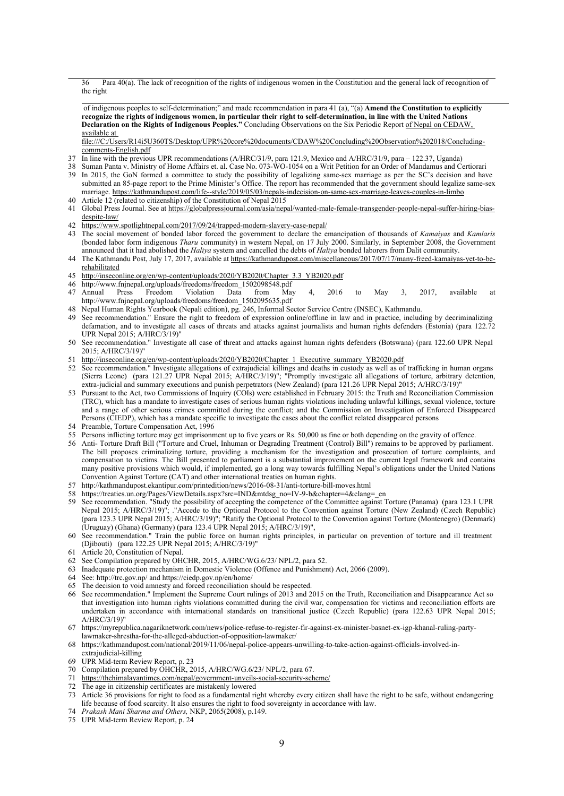36 Para 40(a). The lack of recognition of the rights of indigenous women in the Constitution and the general lack of recognition of the right

of indigenous peoples to self-determination;" and made recommendation in para 41 (a), "(a) **Amend the Constitution to explicitly** recognize the rights of indigenous women, in particular their right to self-determination, in line with the United Nations **Declaration on the Rights of Indigenous Peoples."** Concluding Observations on the Six Periodic Report of Nepal on CEDAW, available at

file:///C:/Users/R14i5U360TS/Desktop/UPR%20core%20documents/CDAW%20Concluding%20Observation%202018/Concludingcomments-English.pdf

- 37 In line with the previous UPR recommendations (A/HRC/31/9, para 121.9, Mexico and A/HRC/31/9, para 122.37, Uganda)
- 38 Suman Panta v. Ministry of Home Affairs et. al. Case No. 073-WO-1054 on <sup>a</sup> Writ Petition for an Order of Mandamus and Certiorari
- 39 In 2015, the GoN formed <sup>a</sup> committee to study the possibility of legalizing same-sex marriage as per the SC'<sup>s</sup> decision and have submitted an 85-page repor<sup>t</sup> to the Prime Minister'<sup>s</sup> Office. The repor<sup>t</sup> has recommended that the governmen<sup>t</sup> should legalize same-sex marriage. <https://kathmandupost.com/life--style/2019/05/03/nepals-indecision-on-same-sex-marriage-leaves-couples-in-limbo>
- 40 Article 12 (related to citizenship) of the Constitution of Nepal 2015
- 41 Global Press Journal. See at [https://globalpressjournal.com/asia/nepal/wanted-male-female-transgender-people-nepal-suffer-hiring-bias](https://globalpressjournal.com/asia/nepal/wanted-male-female-transgender-people-nepal-suffer-hiring-bias-despite-law/)[despite-law/](https://globalpressjournal.com/asia/nepal/wanted-male-female-transgender-people-nepal-suffer-hiring-bias-despite-law/)
- 42 <https://www.spotlightnepal.com/2017/09/24/trapped-modern-slavery-case-nepal/><br>43 The social movement of bonded labor forced the government to declare the ex-
- 43 The social movement of bonded labor forced the governmen<sup>t</sup> to declare the emancipation of thousands of *Kamaiyas* and *Kamlaris* (bonded labor form indigenous *Tharu* community) in western Nepal, on 17 July 2000. Similarly, in September 2008, the Government announced that it had abolished the *Haliya* system and cancelled the debts of *Haliya* bonded laborers from Dalit community.
- 44 The Kathmandu Post, July 17, 2017, available at [https://kathmandupost.com/miscellaneous/2017/07/17/many-freed-kamaiyas-yet-to-be](https://kathmandupost.com/miscellaneous/2017/07/17/many-freed-kamaiyas-yet-to-be-rehabilitated)[rehabilitated](https://kathmandupost.com/miscellaneous/2017/07/17/many-freed-kamaiyas-yet-to-be-rehabilitated)
- 45 [http://inseconline.org/en/wp-content/uploads/2020/YB2020/Chapter\\_3.3\\_YB2020.pdf](http://inseconline.org/en/wp-content/uploads/2020/YB2020/Chapter_3.3_YB2020.pdf)
- 46 [http://www.fnjnepal.org/uploads/freedoms/freedom\\_1502098548.pdf](http://www.fnjnepal.org/uploads/freedoms/freedom_1502098548.pdf)<br>47 Annual Press Freedom Violation Data from Ma
- 47 Annual Press Freedom Violation Data from May 4, 2016 to May 3, 2017, available at [http://www.fnjnepal.org/uploads/freedoms/freedom\\_1502095635.pdf](http://www.fnjnepal.org/uploads/freedoms/freedom_1502095635.pdf)
- 48 Nepal Human Rights Yearbook (Nepali edition), pg. 246, Informal Sector Service Centre (INSEC), Kathmandu.
- 49 See recommendation." Ensure the right to freedom of expression online/offline in law and in practice, including by decriminalizing defamation, and to investigate all cases of threats and attacks against journalists and human rights defenders (Estonia) (para 122.72 UPR Nepal 2015; A/HRC/3/19)"
- 50 See recommendation." Investigate all case of threat and attacks against human rights defenders (Botswana) (para 122.60 UPR Nepal 2015; A/HRC/3/19)"
- 51 [http://inseconline.org/en/wp-content/uploads/2020/YB2020/Chapter\\_1\\_Executive\\_summary\\_YB2020.pdf](http://inseconline.org/en/wp-content/uploads/2020/YB2020/Chapter_1_Executive_summary_YB2020.pdf)
- 52 See recommendation." Investigate allegations of extrajudicial killings and deaths in custody as well as of trafficking in human organs (Sierra Leone) (para 121.27 UPR Nepal 2015; A/HRC/3/19)"; "Promptly investigate all allegations of torture, arbitrary detention, extra-judicial and summary executions and punish perpetrators (New Zealand) (para 121.26 UPR Nepal 2015; A/HRC/3/19)"
- 53 Pursuant to the Act, two Commissions of Inquiry (COIs) were established in February 2015: the Truth and Reconciliation Commission (TRC), which has <sup>a</sup> mandate to investigate cases of serious human rights violations including unlawful killings, sexual violence, torture and <sup>a</sup> range of other serious crimes committed during the conflict; and the Commission on Investigation of Enforced Disappeared Persons (CIEDP), which has <sup>a</sup> mandate specific to investigate the cases about the conflict related disappeared persons
- 54 Preamble, Torture Compensation Act, 1996
- 55 Persons inflicting torture may ge<sup>t</sup> imprisonment up to five years or Rs. 50,000 as fine or both depending on the gravity of offence.
- 56 Anti- Torture Draft Bill ("Torture and Cruel, Inhuman or Degrading Treatment (Control) Bill") remains to be approved by parliament. The bill proposes criminalizing torture, providing a mechanism for the investigation and prosecution of torture complaints, and compensation to victims. The Bill presented to parliament is <sup>a</sup> substantial improvement on the current legal framework and contains many positive provisions which would, if implemented, go <sup>a</sup> long way towards fulfilling Nepal'<sup>s</sup> obligations under the United Nations Convention Against Torture (CAT) and other international treaties on human rights.
- 57 http://kathmandupost.ekantipur.com/printedition/news/2016-08-31/anti-torture-bill-moves.html
- 58 https://treaties.un.org/Pages/ViewDetails.aspx?src=IND&mtdsg\_no=IV-9-b&chapter=4&clang=\_en
- 59 See recommendation. "Study the possibility of accepting the competence of the Committee against Torture (Panama) (para 123.1 UPR Nepal 2015; A/HRC/3/19)"; ."Accede to the Optional Protocol to the Convention against Torture (New Zealand) (Czech Republic) (para 123.3 UPR Nepal 2015; A/HRC/3/19)"; "Ratify the Optional Protocol to the Convention against Torture (Montenegro) (Denmark) (Uruguay) (Ghana) (Germany) (para 123.4 UPR Nepal 2015; A/HRC/3/19)",
- 60 See recommendation." Train the public force on human rights principles, in particular on prevention of torture and ill treatment (Djibouti) (para 122.25 UPR Nepal 2015; A/HRC/3/19)"
- 61 Article 20, Constitution of Nepal.
- 62 See Compilation prepared by OHCHR, 2015, A/HRC/WG.6/23/ NPL/2, para 52.
- 63 Inadequate protection mechanism in Domestic Violence (Offence and Punishment) Act, 2066 (2009).
- 64 See: <http://trc.gov.np/> and <https://ciedp.gov.np/en/home/>
- 65 The decision to void amnesty and forced reconciliation should be respected.
- 66 See recommendation." Implement the Supreme Court rulings of 2013 and 2015 on the Truth, Reconciliation and Disappearance Act so that investigation into human rights violations committed during the civil war, compensation for victims and reconciliation efforts are undertaken in accordance with international standards on transitional justice (Czech Republic) (para 122.63 UPR Nepal 2015; A/HRC/3/19)"
- 67 [https://myrepublica.nagariknetwork.com/news/police-refuse-to-register-fir-against-ex-minister-basnet-ex-igp-khanal-ruling-party](https://myrepublica.nagariknetwork.com/news/police-refuse-to-register-fir-against-ex-minister-basnet-ex-igp-khanal-ruling-party-lawmaker-shrestha-for-the-alleged-abduction-of-opposition-lawmaker/)[lawmaker-shrestha-for-the-alleged-abduction-of-opposition-lawmaker/](https://myrepublica.nagariknetwork.com/news/police-refuse-to-register-fir-against-ex-minister-basnet-ex-igp-khanal-ruling-party-lawmaker-shrestha-for-the-alleged-abduction-of-opposition-lawmaker/)
- 68 [https://kathmandupost.com/national/2019/11/06/nepal-police-appears-unwilling-to-take-action-against-officials-involved-in](https://kathmandupost.com/national/2019/11/06/nepal-police-appears-unwilling-to-take-action-against-officials-involved-in-extrajudicial-killing)[extrajudicial-killing](https://kathmandupost.com/national/2019/11/06/nepal-police-appears-unwilling-to-take-action-against-officials-involved-in-extrajudicial-killing)
- 69 UPR Mid-term Review Report, p. 23
- 70 Compilation prepared by OHCHR, 2015, A/HRC/WG.6/23/ NPL/2, para 67.
- 71 <https://thehimalayantimes.com/nepal/government-unveils-social-security-scheme/>
- 72 The age in citizenship certificates are mistakenly lowered
- 73 Article 36 provisions for right to food as <sup>a</sup> fundamental right whereby every citizen shall have the right to be safe, without endangering life because of food scarcity. It also ensures the right to food sovereignty in accordance with law.
- 74 *Prakash Mani Sharma and Others,* NKP, 2065(2008), p.149.
- 75 UPR Mid-term Review Report, p. 24